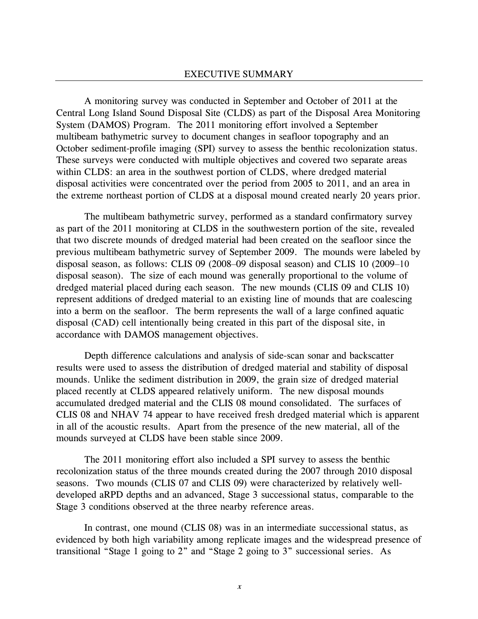A monitoring survey was conducted in September and October of 2011 at the Central Long Island Sound Disposal Site (CLDS) as part of the Disposal Area Monitoring System (DAMOS) Program. The 2011 monitoring effort involved a September multibeam bathymetric survey to document changes in seafloor topography and an October sediment-profile imaging (SPI) survey to assess the benthic recolonization status. These surveys were conducted with multiple objectives and covered two separate areas within CLDS: an area in the southwest portion of CLDS, where dredged material disposal activities were concentrated over the period from 2005 to 2011, and an area in the extreme northeast portion of CLDS at a disposal mound created nearly 20 years prior.

The multibeam bathymetric survey, performed as a standard confirmatory survey as part of the 2011 monitoring at CLDS in the southwestern portion of the site, revealed that two discrete mounds of dredged material had been created on the seafloor since the previous multibeam bathymetric survey of September 2009. The mounds were labeled by disposal season, as follows: CLIS 09 (2008–09 disposal season) and CLIS 10 (2009–10 disposal season). The size of each mound was generally proportional to the volume of dredged material placed during each season. The new mounds (CLIS 09 and CLIS 10) represent additions of dredged material to an existing line of mounds that are coalescing into a berm on the seafloor. The berm represents the wall of a large confined aquatic disposal (CAD) cell intentionally being created in this part of the disposal site, in accordance with DAMOS management objectives.

Depth difference calculations and analysis of side-scan sonar and backscatter results were used to assess the distribution of dredged material and stability of disposal mounds. Unlike the sediment distribution in 2009, the grain size of dredged material placed recently at CLDS appeared relatively uniform. The new disposal mounds accumulated dredged material and the CLIS 08 mound consolidated. The surfaces of CLIS 08 and NHAV 74 appear to have received fresh dredged material which is apparent in all of the acoustic results. Apart from the presence of the new material, all of the mounds surveyed at CLDS have been stable since 2009.

The 2011 monitoring effort also included a SPI survey to assess the benthic recolonization status of the three mounds created during the 2007 through 2010 disposal seasons. Two mounds (CLIS 07 and CLIS 09) were characterized by relatively welldeveloped aRPD depths and an advanced, Stage 3 successional status, comparable to the Stage 3 conditions observed at the three nearby reference areas.

In contrast, one mound (CLIS 08) was in an intermediate successional status, as evidenced by both high variability among replicate images and the widespread presence of transitional "Stage 1 going to 2" and "Stage 2 going to 3" successional series. As